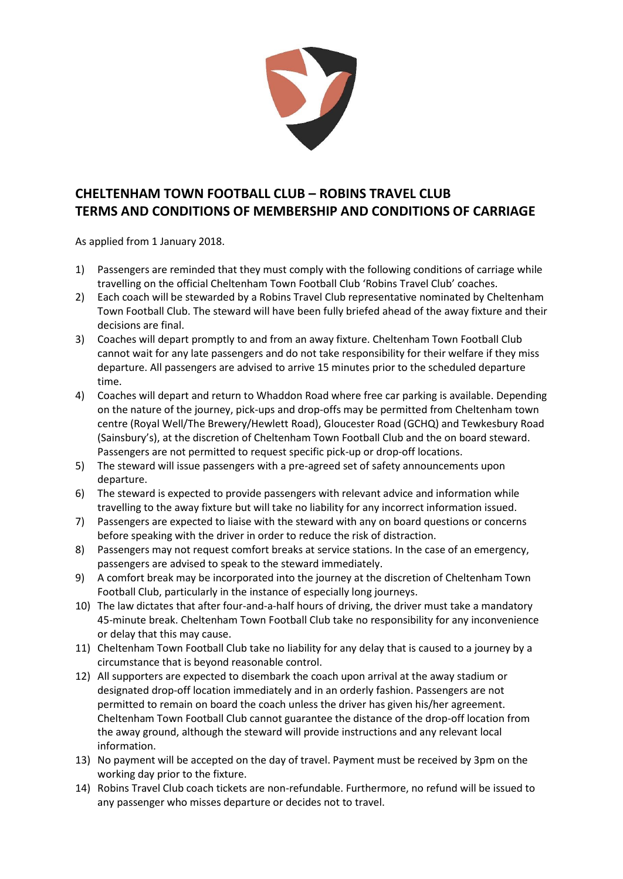

## **CHELTENHAM TOWN FOOTBALL CLUB – ROBINS TRAVEL CLUB TERMS AND CONDITIONS OF MEMBERSHIP AND CONDITIONS OF CARRIAGE**

As applied from 1 January 2018.

- 1) Passengers are reminded that they must comply with the following conditions of carriage while travelling on the official Cheltenham Town Football Club 'Robins Travel Club' coaches.
- 2) Each coach will be stewarded by a Robins Travel Club representative nominated by Cheltenham Town Football Club. The steward will have been fully briefed ahead of the away fixture and their decisions are final.
- 3) Coaches will depart promptly to and from an away fixture. Cheltenham Town Football Club cannot wait for any late passengers and do not take responsibility for their welfare if they miss departure. All passengers are advised to arrive 15 minutes prior to the scheduled departure time.
- 4) Coaches will depart and return to Whaddon Road where free car parking is available. Depending on the nature of the journey, pick-ups and drop-offs may be permitted from Cheltenham town centre (Royal Well/The Brewery/Hewlett Road), Gloucester Road (GCHQ) and Tewkesbury Road (Sainsbury's), at the discretion of Cheltenham Town Football Club and the on board steward. Passengers are not permitted to request specific pick-up or drop-off locations.
- 5) The steward will issue passengers with a pre-agreed set of safety announcements upon departure.
- 6) The steward is expected to provide passengers with relevant advice and information while travelling to the away fixture but will take no liability for any incorrect information issued.
- 7) Passengers are expected to liaise with the steward with any on board questions or concerns before speaking with the driver in order to reduce the risk of distraction.
- 8) Passengers may not request comfort breaks at service stations. In the case of an emergency, passengers are advised to speak to the steward immediately.
- 9) A comfort break may be incorporated into the journey at the discretion of Cheltenham Town Football Club, particularly in the instance of especially long journeys.
- 10) The law dictates that after four-and-a-half hours of driving, the driver must take a mandatory 45-minute break. Cheltenham Town Football Club take no responsibility for any inconvenience or delay that this may cause.
- 11) Cheltenham Town Football Club take no liability for any delay that is caused to a journey by a circumstance that is beyond reasonable control.
- 12) All supporters are expected to disembark the coach upon arrival at the away stadium or designated drop-off location immediately and in an orderly fashion. Passengers are not permitted to remain on board the coach unless the driver has given his/her agreement. Cheltenham Town Football Club cannot guarantee the distance of the drop-off location from the away ground, although the steward will provide instructions and any relevant local information.
- 13) No payment will be accepted on the day of travel. Payment must be received by 3pm on the working day prior to the fixture.
- 14) Robins Travel Club coach tickets are non-refundable. Furthermore, no refund will be issued to any passenger who misses departure or decides not to travel.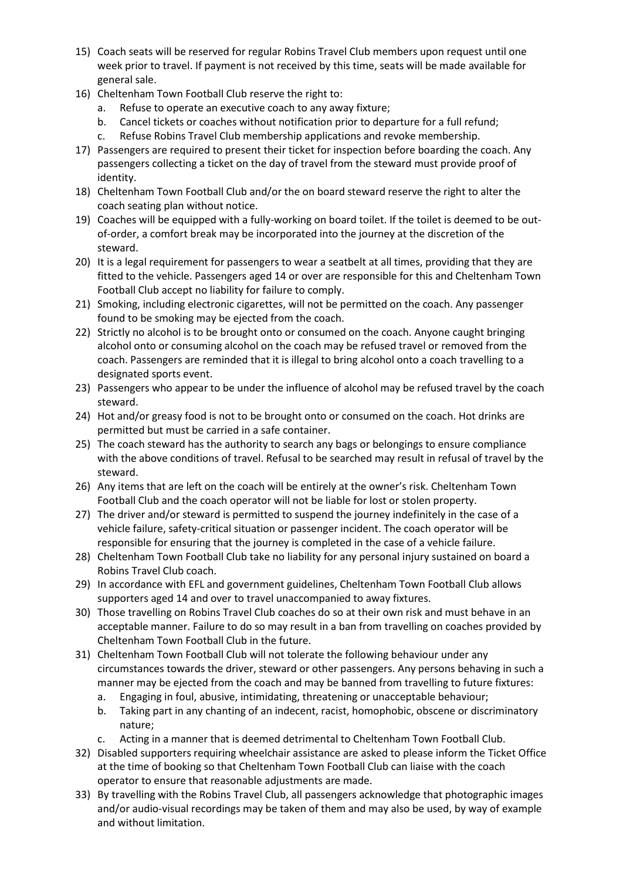- 15) Coach seats will be reserved for regular Robins Travel Club members upon request until one week prior to travel. If payment is not received by this time, seats will be made available for general sale.
- 16) Cheltenham Town Football Club reserve the right to:
	- Refuse to operate an executive coach to any away fixture;
	- b. Cancel tickets or coaches without notification prior to departure for a full refund;
	- c. Refuse Robins Travel Club membership applications and revoke membership.
- 17) Passengers are required to present their ticket for inspection before boarding the coach. Any passengers collecting a ticket on the day of travel from the steward must provide proof of identity.
- 18) Cheltenham Town Football Club and/or the on board steward reserve the right to alter the coach seating plan without notice.
- 19) Coaches will be equipped with a fully-working on board toilet. If the toilet is deemed to be outof-order, a comfort break may be incorporated into the journey at the discretion of the steward.
- 20) It is a legal requirement for passengers to wear a seatbelt at all times, providing that they are fitted to the vehicle. Passengers aged 14 or over are responsible for this and Cheltenham Town Football Club accept no liability for failure to comply.
- 21) Smoking, including electronic cigarettes, will not be permitted on the coach. Any passenger found to be smoking may be ejected from the coach.
- 22) Strictly no alcohol is to be brought onto or consumed on the coach. Anyone caught bringing alcohol onto or consuming alcohol on the coach may be refused travel or removed from the coach. Passengers are reminded that it is illegal to bring alcohol onto a coach travelling to a designated sports event.
- 23) Passengers who appear to be under the influence of alcohol may be refused travel by the coach steward.
- 24) Hot and/or greasy food is not to be brought onto or consumed on the coach. Hot drinks are permitted but must be carried in a safe container.
- 25) The coach steward has the authority to search any bags or belongings to ensure compliance with the above conditions of travel. Refusal to be searched may result in refusal of travel by the steward.
- 26) Any items that are left on the coach will be entirely at the owner's risk. Cheltenham Town Football Club and the coach operator will not be liable for lost or stolen property.
- 27) The driver and/or steward is permitted to suspend the journey indefinitely in the case of a vehicle failure, safety-critical situation or passenger incident. The coach operator will be responsible for ensuring that the journey is completed in the case of a vehicle failure.
- 28) Cheltenham Town Football Club take no liability for any personal injury sustained on board a Robins Travel Club coach.
- 29) In accordance with EFL and government guidelines, Cheltenham Town Football Club allows supporters aged 14 and over to travel unaccompanied to away fixtures.
- 30) Those travelling on Robins Travel Club coaches do so at their own risk and must behave in an acceptable manner. Failure to do so may result in a ban from travelling on coaches provided by Cheltenham Town Football Club in the future.
- 31) Cheltenham Town Football Club will not tolerate the following behaviour under any circumstances towards the driver, steward or other passengers. Any persons behaving in such a manner may be ejected from the coach and may be banned from travelling to future fixtures:
	- a. Engaging in foul, abusive, intimidating, threatening or unacceptable behaviour;
	- b. Taking part in any chanting of an indecent, racist, homophobic, obscene or discriminatory nature;
	- c. Acting in a manner that is deemed detrimental to Cheltenham Town Football Club.
- 32) Disabled supporters requiring wheelchair assistance are asked to please inform the Ticket Office at the time of booking so that Cheltenham Town Football Club can liaise with the coach operator to ensure that reasonable adjustments are made.
- 33) By travelling with the Robins Travel Club, all passengers acknowledge that photographic images and/or audio-visual recordings may be taken of them and may also be used, by way of example and without limitation.